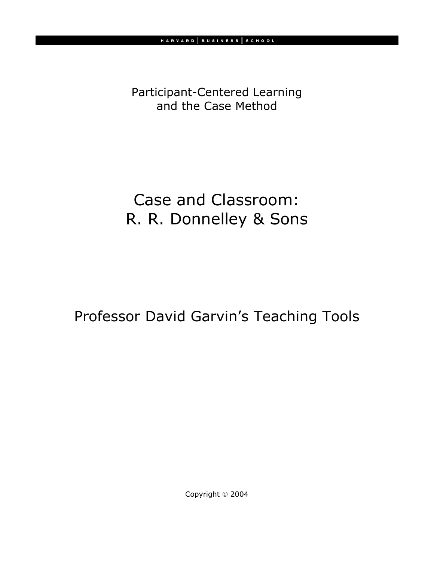Participant-Centered Learning and the Case Method

## Case and Classroom: R. R. Donnelley & Sons

Professor David Garvin's Teaching Tools

Copyright © 2004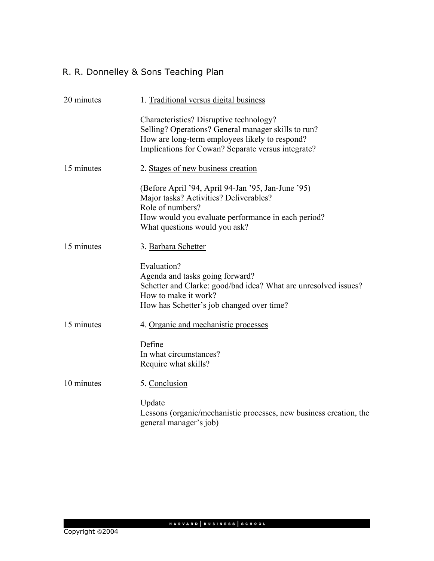## R. R. Donnelley & Sons Teaching Plan

| 20 minutes | 1. Traditional versus digital business                                                                                                                                                                  |
|------------|---------------------------------------------------------------------------------------------------------------------------------------------------------------------------------------------------------|
|            | Characteristics? Disruptive technology?<br>Selling? Operations? General manager skills to run?<br>How are long-term employees likely to respond?<br>Implications for Cowan? Separate versus integrate?  |
| 15 minutes | 2. Stages of new business creation                                                                                                                                                                      |
|            | (Before April '94, April 94-Jan '95, Jan-June '95)<br>Major tasks? Activities? Deliverables?<br>Role of numbers?<br>How would you evaluate performance in each period?<br>What questions would you ask? |
| 15 minutes | 3. Barbara Schetter                                                                                                                                                                                     |
|            | Evaluation?<br>Agenda and tasks going forward?<br>Schetter and Clarke: good/bad idea? What are unresolved issues?<br>How to make it work?<br>How has Schetter's job changed over time?                  |
| 15 minutes | 4. Organic and mechanistic processes                                                                                                                                                                    |
|            | Define<br>In what circumstances?<br>Require what skills?                                                                                                                                                |
| 10 minutes | 5. Conclusion                                                                                                                                                                                           |
|            | Update<br>Lessons (organic/mechanistic processes, new business creation, the<br>general manager's job)                                                                                                  |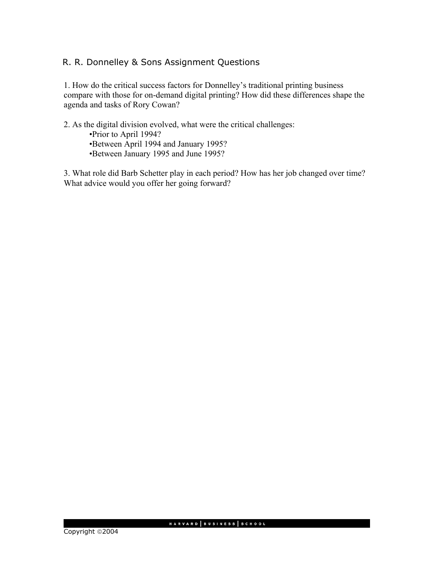## R. R. Donnelley & Sons Assignment Questions

1. How do the critical success factors for Donnelley's traditional printing business compare with those for on-demand digital printing? How did these differences shape the agenda and tasks of Rory Cowan?

2. As the digital division evolved, what were the critical challenges: •Prior to April 1994? •Between April 1994 and January 1995? •Between January 1995 and June 1995?

3. What role did Barb Schetter play in each period? How has her job changed over time? What advice would you offer her going forward?